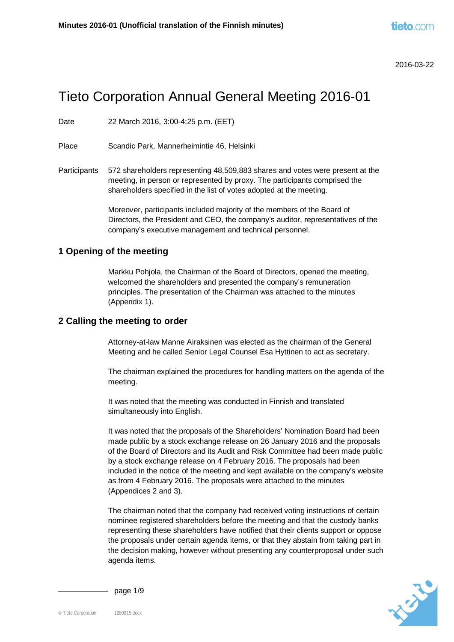# Tieto Corporation Annual General Meeting 2016-01

Date 22 March 2016, 3:00-4:25 p.m. (EET)

Place Scandic Park, Mannerheimintie 46, Helsinki

Participants 572 shareholders representing 48,509,883 shares and votes were present at the meeting, in person or represented by proxy. The participants comprised the shareholders specified in the list of votes adopted at the meeting.

> Moreover, participants included majority of the members of the Board of Directors, the President and CEO, the company's auditor, representatives of the company's executive management and technical personnel.

#### **1 Opening of the meeting**

Markku Pohjola, the Chairman of the Board of Directors, opened the meeting, welcomed the shareholders and presented the company's remuneration principles. The presentation of the Chairman was attached to the minutes (Appendix 1).

#### **2 Calling the meeting to order**

Attorney-at-law Manne Airaksinen was elected as the chairman of the General Meeting and he called Senior Legal Counsel Esa Hyttinen to act as secretary.

The chairman explained the procedures for handling matters on the agenda of the meeting.

It was noted that the meeting was conducted in Finnish and translated simultaneously into English.

It was noted that the proposals of the Shareholders' Nomination Board had been made public by a stock exchange release on 26 January 2016 and the proposals of the Board of Directors and its Audit and Risk Committee had been made public by a stock exchange release on 4 February 2016. The proposals had been included in the notice of the meeting and kept available on the company's website as from 4 February 2016. The proposals were attached to the minutes (Appendices 2 and 3).

The chairman noted that the company had received voting instructions of certain nominee registered shareholders before the meeting and that the custody banks representing these shareholders have notified that their clients support or oppose the proposals under certain agenda items, or that they abstain from taking part in the decision making, however without presenting any counterproposal under such agenda items.



page 1/9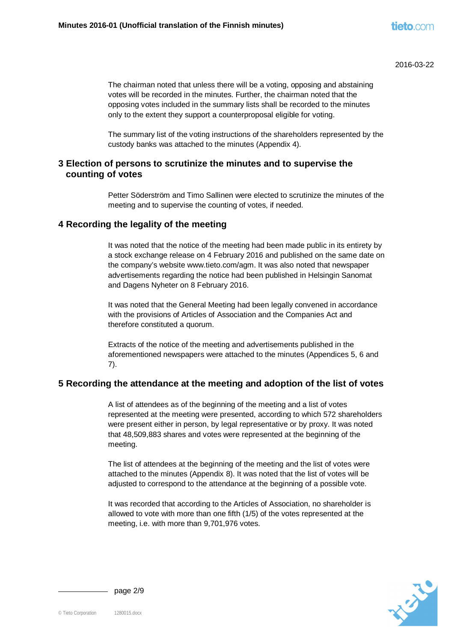The chairman noted that unless there will be a voting, opposing and abstaining votes will be recorded in the minutes. Further, the chairman noted that the opposing votes included in the summary lists shall be recorded to the minutes only to the extent they support a counterproposal eligible for voting.

The summary list of the voting instructions of the shareholders represented by the custody banks was attached to the minutes (Appendix 4).

## **3 Election of persons to scrutinize the minutes and to supervise the counting of votes**

Petter Söderström and Timo Sallinen were elected to scrutinize the minutes of the meeting and to supervise the counting of votes, if needed.

#### **4 Recording the legality of the meeting**

It was noted that the notice of the meeting had been made public in its entirety by a stock exchange release on 4 February 2016 and published on the same date on the company's website www.tieto.com/agm. It was also noted that newspaper advertisements regarding the notice had been published in Helsingin Sanomat and Dagens Nyheter on 8 February 2016.

It was noted that the General Meeting had been legally convened in accordance with the provisions of Articles of Association and the Companies Act and therefore constituted a quorum.

Extracts of the notice of the meeting and advertisements published in the aforementioned newspapers were attached to the minutes (Appendices 5, 6 and 7).

## **5 Recording the attendance at the meeting and adoption of the list of votes**

A list of attendees as of the beginning of the meeting and a list of votes represented at the meeting were presented, according to which 572 shareholders were present either in person, by legal representative or by proxy. It was noted that 48,509,883 shares and votes were represented at the beginning of the meeting.

The list of attendees at the beginning of the meeting and the list of votes were attached to the minutes (Appendix 8). It was noted that the list of votes will be adjusted to correspond to the attendance at the beginning of a possible vote.

It was recorded that according to the Articles of Association, no shareholder is allowed to vote with more than one fifth (1/5) of the votes represented at the meeting, i.e. with more than 9,701,976 votes.



 $-p$ age  $2/9$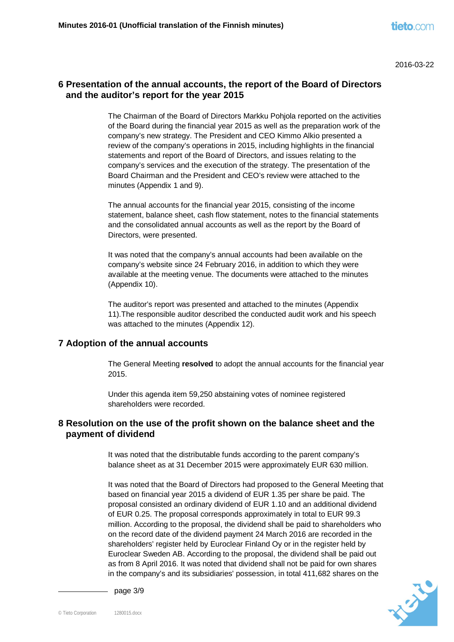# **6 Presentation of the annual accounts, the report of the Board of Directors and the auditor's report for the year 2015**

The Chairman of the Board of Directors Markku Pohjola reported on the activities of the Board during the financial year 2015 as well as the preparation work of the company's new strategy. The President and CEO Kimmo Alkio presented a review of the company's operations in 2015, including highlights in the financial statements and report of the Board of Directors, and issues relating to the company's services and the execution of the strategy. The presentation of the Board Chairman and the President and CEO's review were attached to the minutes (Appendix 1 and 9).

The annual accounts for the financial year 2015, consisting of the income statement, balance sheet, cash flow statement, notes to the financial statements and the consolidated annual accounts as well as the report by the Board of Directors, were presented.

It was noted that the company's annual accounts had been available on the company's website since 24 February 2016, in addition to which they were available at the meeting venue. The documents were attached to the minutes (Appendix 10).

The auditor's report was presented and attached to the minutes (Appendix 11).The responsible auditor described the conducted audit work and his speech was attached to the minutes (Appendix 12).

## **7 Adoption of the annual accounts**

The General Meeting **resolved** to adopt the annual accounts for the financial year 2015.

Under this agenda item 59,250 abstaining votes of nominee registered shareholders were recorded.

# **8 Resolution on the use of the profit shown on the balance sheet and the payment of dividend**

It was noted that the distributable funds according to the parent company's balance sheet as at 31 December 2015 were approximately EUR 630 million.

It was noted that the Board of Directors had proposed to the General Meeting that based on financial year 2015 a dividend of EUR 1.35 per share be paid. The proposal consisted an ordinary dividend of EUR 1.10 and an additional dividend of EUR 0.25. The proposal corresponds approximately in total to EUR 99.3 million. According to the proposal, the dividend shall be paid to shareholders who on the record date of the dividend payment 24 March 2016 are recorded in the shareholders' register held by Euroclear Finland Oy or in the register held by Euroclear Sweden AB. According to the proposal, the dividend shall be paid out as from 8 April 2016. It was noted that dividend shall not be paid for own shares in the company's and its subsidiaries' possession, in total 411,682 shares on the



page 3/9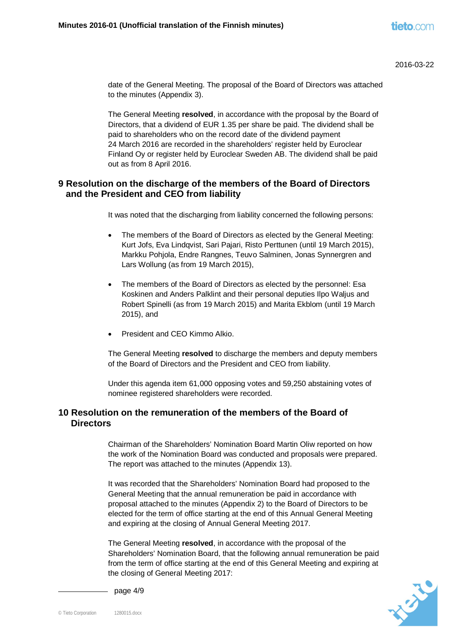date of the General Meeting. The proposal of the Board of Directors was attached to the minutes (Appendix 3).

The General Meeting **resolved**, in accordance with the proposal by the Board of Directors, that a dividend of EUR 1.35 per share be paid. The dividend shall be paid to shareholders who on the record date of the dividend payment 24 March 2016 are recorded in the shareholders' register held by Euroclear Finland Oy or register held by Euroclear Sweden AB. The dividend shall be paid out as from 8 April 2016.

## **9 Resolution on the discharge of the members of the Board of Directors and the President and CEO from liability**

It was noted that the discharging from liability concerned the following persons:

- The members of the Board of Directors as elected by the General Meeting: Kurt Jofs, Eva Lindqvist, Sari Pajari, Risto Perttunen (until 19 March 2015), Markku Pohjola, Endre Rangnes, Teuvo Salminen, Jonas Synnergren and Lars Wollung (as from 19 March 2015),
- x The members of the Board of Directors as elected by the personnel: Esa Koskinen and Anders Palklint and their personal deputies Ilpo Waljus and Robert Spinelli (as from 19 March 2015) and Marita Ekblom (until 19 March 2015), and
- President and CEO Kimmo Alkio.

The General Meeting **resolved** to discharge the members and deputy members of the Board of Directors and the President and CEO from liability.

Under this agenda item 61,000 opposing votes and 59,250 abstaining votes of nominee registered shareholders were recorded.

## **10 Resolution on the remuneration of the members of the Board of Directors**

Chairman of the Shareholders' Nomination Board Martin Oliw reported on how the work of the Nomination Board was conducted and proposals were prepared. The report was attached to the minutes (Appendix 13).

It was recorded that the Shareholders' Nomination Board had proposed to the General Meeting that the annual remuneration be paid in accordance with proposal attached to the minutes (Appendix 2) to the Board of Directors to be elected for the term of office starting at the end of this Annual General Meeting and expiring at the closing of Annual General Meeting 2017.

The General Meeting **resolved**, in accordance with the proposal of the Shareholders' Nomination Board, that the following annual remuneration be paid from the term of office starting at the end of this General Meeting and expiring at the closing of General Meeting 2017:



page 4/9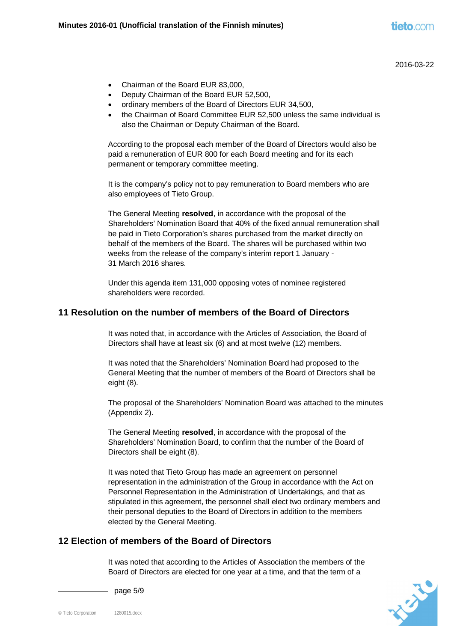- Chairman of the Board EUR 83,000.
- Deputy Chairman of the Board EUR 52,500,
- ordinary members of the Board of Directors EUR 34,500,
- the Chairman of Board Committee EUR 52,500 unless the same individual is also the Chairman or Deputy Chairman of the Board.

According to the proposal each member of the Board of Directors would also be paid a remuneration of EUR 800 for each Board meeting and for its each permanent or temporary committee meeting.

It is the company's policy not to pay remuneration to Board members who are also employees of Tieto Group.

The General Meeting **resolved**, in accordance with the proposal of the Shareholders' Nomination Board that 40% of the fixed annual remuneration shall be paid in Tieto Corporation's shares purchased from the market directly on behalf of the members of the Board. The shares will be purchased within two weeks from the release of the company's interim report 1 January - 31 March 2016 shares.

Under this agenda item 131,000 opposing votes of nominee registered shareholders were recorded.

## **11 Resolution on the number of members of the Board of Directors**

It was noted that, in accordance with the Articles of Association, the Board of Directors shall have at least six (6) and at most twelve (12) members.

It was noted that the Shareholders' Nomination Board had proposed to the General Meeting that the number of members of the Board of Directors shall be eight (8).

The proposal of the Shareholders' Nomination Board was attached to the minutes (Appendix 2).

The General Meeting **resolved**, in accordance with the proposal of the Shareholders' Nomination Board, to confirm that the number of the Board of Directors shall be eight (8).

It was noted that Tieto Group has made an agreement on personnel representation in the administration of the Group in accordance with the Act on Personnel Representation in the Administration of Undertakings, and that as stipulated in this agreement, the personnel shall elect two ordinary members and their personal deputies to the Board of Directors in addition to the members elected by the General Meeting.

## **12 Election of members of the Board of Directors**

It was noted that according to the Articles of Association the members of the Board of Directors are elected for one year at a time, and that the term of a



- page  $5/9$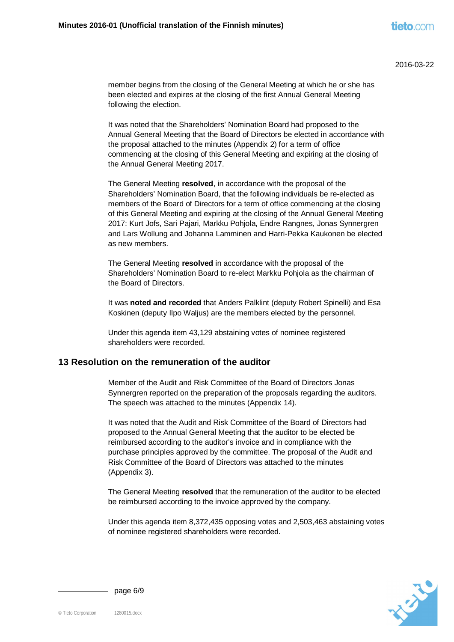member begins from the closing of the General Meeting at which he or she has been elected and expires at the closing of the first Annual General Meeting following the election.

It was noted that the Shareholders' Nomination Board had proposed to the Annual General Meeting that the Board of Directors be elected in accordance with the proposal attached to the minutes (Appendix 2) for a term of office commencing at the closing of this General Meeting and expiring at the closing of the Annual General Meeting 2017.

The General Meeting **resolved**, in accordance with the proposal of the Shareholders' Nomination Board, that the following individuals be re-elected as members of the Board of Directors for a term of office commencing at the closing of this General Meeting and expiring at the closing of the Annual General Meeting 2017: Kurt Jofs, Sari Pajari, Markku Pohjola, Endre Rangnes, Jonas Synnergren and Lars Wollung and Johanna Lamminen and Harri-Pekka Kaukonen be elected as new members.

The General Meeting **resolved** in accordance with the proposal of the Shareholders' Nomination Board to re-elect Markku Pohjola as the chairman of the Board of Directors.

It was **noted and recorded** that Anders Palklint (deputy Robert Spinelli) and Esa Koskinen (deputy Ilpo Waljus) are the members elected by the personnel.

Under this agenda item 43,129 abstaining votes of nominee registered shareholders were recorded.

#### **13 Resolution on the remuneration of the auditor**

Member of the Audit and Risk Committee of the Board of Directors Jonas Synnergren reported on the preparation of the proposals regarding the auditors. The speech was attached to the minutes (Appendix 14).

It was noted that the Audit and Risk Committee of the Board of Directors had proposed to the Annual General Meeting that the auditor to be elected be reimbursed according to the auditor's invoice and in compliance with the purchase principles approved by the committee. The proposal of the Audit and Risk Committee of the Board of Directors was attached to the minutes (Appendix 3).

The General Meeting **resolved** that the remuneration of the auditor to be elected be reimbursed according to the invoice approved by the company.

Under this agenda item 8,372,435 opposing votes and 2,503,463 abstaining votes of nominee registered shareholders were recorded.



page 6/9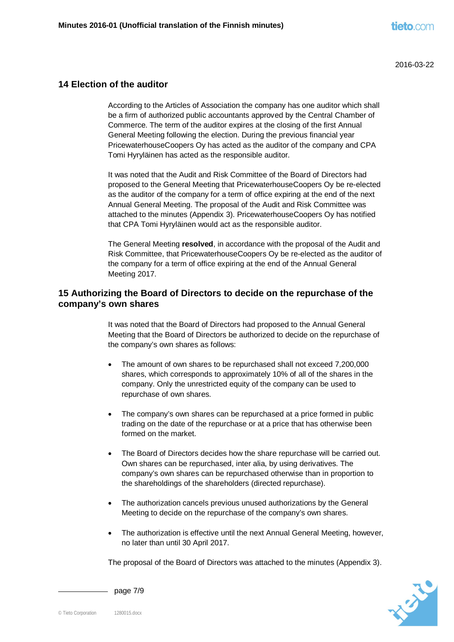#### **14 Election of the auditor**

According to the Articles of Association the company has one auditor which shall be a firm of authorized public accountants approved by the Central Chamber of Commerce. The term of the auditor expires at the closing of the first Annual General Meeting following the election. During the previous financial year PricewaterhouseCoopers Oy has acted as the auditor of the company and CPA Tomi Hyryläinen has acted as the responsible auditor.

It was noted that the Audit and Risk Committee of the Board of Directors had proposed to the General Meeting that PricewaterhouseCoopers Oy be re-elected as the auditor of the company for a term of office expiring at the end of the next Annual General Meeting. The proposal of the Audit and Risk Committee was attached to the minutes (Appendix 3). PricewaterhouseCoopers Oy has notified that CPA Tomi Hyryläinen would act as the responsible auditor.

The General Meeting **resolved**, in accordance with the proposal of the Audit and Risk Committee, that PricewaterhouseCoopers Oy be re-elected as the auditor of the company for a term of office expiring at the end of the Annual General Meeting 2017.

## **15 Authorizing the Board of Directors to decide on the repurchase of the company's own shares**

It was noted that the Board of Directors had proposed to the Annual General Meeting that the Board of Directors be authorized to decide on the repurchase of the company's own shares as follows:

- The amount of own shares to be repurchased shall not exceed 7,200,000 shares, which corresponds to approximately 10% of all of the shares in the company. Only the unrestricted equity of the company can be used to repurchase of own shares.
- The company's own shares can be repurchased at a price formed in public trading on the date of the repurchase or at a price that has otherwise been formed on the market.
- The Board of Directors decides how the share repurchase will be carried out. Own shares can be repurchased, inter alia, by using derivatives. The company's own shares can be repurchased otherwise than in proportion to the shareholdings of the shareholders (directed repurchase).
- The authorization cancels previous unused authorizations by the General Meeting to decide on the repurchase of the company's own shares.
- The authorization is effective until the next Annual General Meeting, however, no later than until 30 April 2017.

The proposal of the Board of Directors was attached to the minutes (Appendix 3).



page 7/9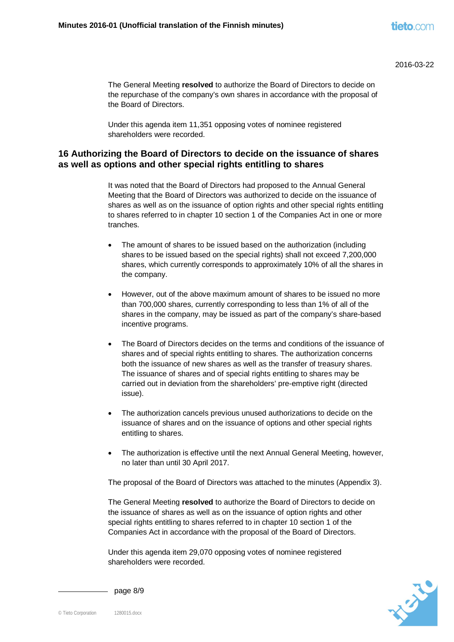The General Meeting **resolved** to authorize the Board of Directors to decide on the repurchase of the company's own shares in accordance with the proposal of the Board of Directors.

Under this agenda item 11,351 opposing votes of nominee registered shareholders were recorded.

## **16 Authorizing the Board of Directors to decide on the issuance of shares as well as options and other special rights entitling to shares**

It was noted that the Board of Directors had proposed to the Annual General Meeting that the Board of Directors was authorized to decide on the issuance of shares as well as on the issuance of option rights and other special rights entitling to shares referred to in chapter 10 section 1 of the Companies Act in one or more tranches.

- The amount of shares to be issued based on the authorization (including shares to be issued based on the special rights) shall not exceed 7,200,000 shares, which currently corresponds to approximately 10% of all the shares in the company.
- However, out of the above maximum amount of shares to be issued no more than 700,000 shares, currently corresponding to less than 1% of all of the shares in the company, may be issued as part of the company's share-based incentive programs.
- The Board of Directors decides on the terms and conditions of the issuance of shares and of special rights entitling to shares. The authorization concerns both the issuance of new shares as well as the transfer of treasury shares. The issuance of shares and of special rights entitling to shares may be carried out in deviation from the shareholders' pre-emptive right (directed issue).
- The authorization cancels previous unused authorizations to decide on the issuance of shares and on the issuance of options and other special rights entitling to shares.
- The authorization is effective until the next Annual General Meeting, however, no later than until 30 April 2017.

The proposal of the Board of Directors was attached to the minutes (Appendix 3).

The General Meeting **resolved** to authorize the Board of Directors to decide on the issuance of shares as well as on the issuance of option rights and other special rights entitling to shares referred to in chapter 10 section 1 of the Companies Act in accordance with the proposal of the Board of Directors.

Under this agenda item 29,070 opposing votes of nominee registered shareholders were recorded.



page 8/9